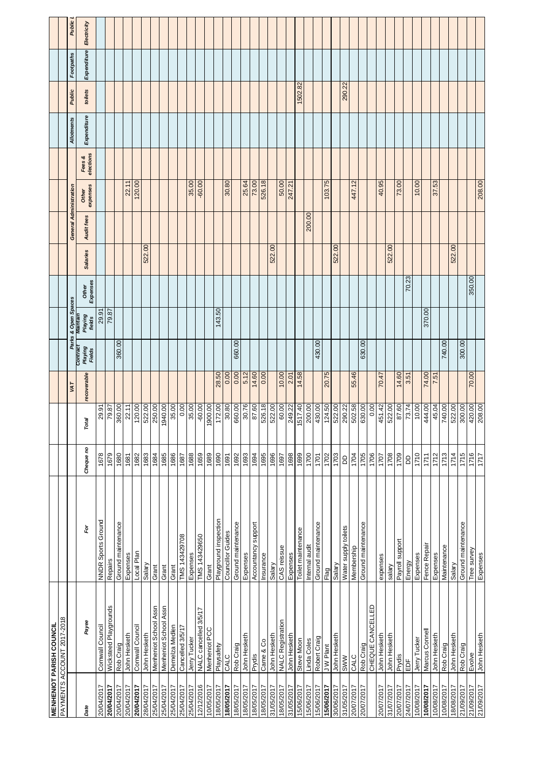|            | <b>MENHENIOT PARISH COUNCIL</b> |                          |           |                            |             |                                     |                                    |                   |                 |                        |                   |                     |                   |         |             |               |
|------------|---------------------------------|--------------------------|-----------|----------------------------|-------------|-------------------------------------|------------------------------------|-------------------|-----------------|------------------------|-------------------|---------------------|-------------------|---------|-------------|---------------|
|            | PAYMENTS ACCOUNT 2017-2018      |                          |           |                            |             |                                     |                                    |                   |                 |                        |                   |                     |                   |         |             |               |
|            |                                 |                          |           |                            | VAT         |                                     | Parks & Open Spaces                |                   |                 | General Administration |                   |                     | <b>Allotments</b> | Public  | Footpaths   | <b>Public</b> |
| Date       | Payee                           | Ğ                        | Cheque no | Total                      | recoverable | Contrac<br><b>Playing</b><br>Fields | <b>Playing</b><br>amtann<br>fields | Expenses<br>Other | <b>Salaries</b> | Audit fees             | expenses<br>Other | elections<br>Fees & | Expenditure       | toilets | Expenditure | Electricity   |
| 20/04/2017 | Cornwall Council                | NNDR Sports Ground       | 1678      | 29.9                       |             |                                     | 29.91                              |                   |                 |                        |                   |                     |                   |         |             |               |
| 20/04/2017 | Wicksteed Playgrounds           | Repairs                  | 1679      | 79.87                      |             |                                     | 79.87                              |                   |                 |                        |                   |                     |                   |         |             |               |
| 20/04/2017 | Rob Craig                       | Ground maintenance       | 1680      | $\frac{360.00}{22.11}$     |             | 360.00                              |                                    |                   |                 |                        |                   |                     |                   |         |             |               |
| 20/04/2017 | John Hesketh                    | Expenses                 | 1681      |                            |             |                                     |                                    |                   |                 |                        | 22.11             |                     |                   |         |             |               |
| 20/04/2017 | Cornwall Council                | Local Plan               | 1682      |                            |             |                                     |                                    |                   |                 |                        | 120.00            |                     |                   |         |             |               |
| 28/04/2017 | John Hesketh                    | Salary                   | 1683      | $\frac{120.00}{522.00}$    |             |                                     |                                    |                   | 522.00          |                        |                   |                     |                   |         |             |               |
| 25/04/2017 | Menheniot School Assn           | Grant                    | 1684      |                            |             |                                     |                                    |                   |                 |                        |                   |                     |                   |         |             |               |
| 25/04/2017 | Menheniot School Assn           | Grant                    | 1685      |                            |             |                                     |                                    |                   |                 |                        |                   |                     |                   |         |             |               |
| 25/04/2017 | Demelza Medlen                  | Grant                    | 1686      | 250.00<br>1940.00<br>35.00 |             |                                     |                                    |                   |                 |                        |                   |                     |                   |         |             |               |
| 25/04/2017 | Cancelled 3/5/17                | TMS 143429708            | 1687      | 0.00                       |             |                                     |                                    |                   |                 |                        |                   |                     |                   |         |             |               |
| 25/04/2017 | Jerry Tucker                    | Expenses                 | 1688      |                            |             |                                     |                                    |                   |                 |                        | 35.00             |                     |                   |         |             |               |
| 12/12/2016 | NALC cancelled 3/5/17           | TMS 143429650            | 1659      | 1900.00                    |             |                                     |                                    |                   |                 |                        | $-60.00$          |                     |                   |         |             |               |
| 10/05/2017 | Menheniot PCC                   | Grant                    | 1689      |                            |             |                                     |                                    |                   |                 |                        |                   |                     |                   |         |             |               |
| 18/05/2017 | Playsafety                      | Playground inspection    | 1690      | 172.00                     | 28.50       |                                     | 143.50                             |                   |                 |                        |                   |                     |                   |         |             |               |
| 18/05/2017 | CALC                            | <b>Councillor Guides</b> | 1691      | 30.80                      | 0.00        |                                     |                                    |                   |                 |                        | 30.80             |                     |                   |         |             |               |
| 18/05/2017 | Rob Craig                       | Ground maintenance       | 1692      | 660.00                     | 0.00        | 660.00                              |                                    |                   |                 |                        |                   |                     |                   |         |             |               |
| 18/05/2017 | John Hesketh                    | Expenses                 | 1693      | 30.76                      | 5.12        |                                     |                                    |                   |                 |                        | 25.64             |                     |                   |         |             |               |
| 18/05/2017 | Prydis                          | Accountancy support      | 1694      | 87.60                      | 14.60       |                                     |                                    |                   |                 |                        | 73.00             |                     |                   |         |             |               |
| 18/05/2017 | Came & Co                       | Insurance                | 1695      |                            | 0.00        |                                     |                                    |                   |                 |                        | 526.18            |                     |                   |         |             |               |
| 31/05/2017 | John Hesketh                    | Salary                   | 1696      | 522.00                     |             |                                     |                                    |                   | 522.00          |                        |                   |                     |                   |         |             |               |
| 18/05/2017 | <b>NALC Registration</b>        | CAS reissue              | 1697      | 60.00                      | 10.00       |                                     |                                    |                   |                 |                        | 50.00             |                     |                   |         |             |               |
| 31/05/2017 | John Hesketh                    | Expenses                 | 1698      | 249.22                     | 2.01        |                                     |                                    |                   |                 |                        | 247.21            |                     |                   |         |             |               |
| 15/06/2017 | Steve Moon                      | Toilet maintenance       | 1699      | 1517.40                    | 14.58       |                                     |                                    |                   |                 |                        |                   |                     |                   | 1502.82 |             |               |
| 15/06/2017 | Linda Coles                     | Internal audit           | 1700      | 200.00                     |             |                                     |                                    |                   |                 | 200.00                 |                   |                     |                   |         |             |               |
| 15/06/2017 | Robert Craig                    | Ground maintenance       | 1701      |                            |             | 430.00                              |                                    |                   |                 |                        |                   |                     |                   |         |             |               |
| 15/06/2017 | <b>JW Plant</b>                 | Flag                     | 1702      | 124.50                     | 20.75       |                                     |                                    |                   |                 |                        | 103.75            |                     |                   |         |             |               |
| 30/06/2017 | John Hesketh                    | Salary                   | 1703      | 522.00                     |             |                                     |                                    |                   | 522.00          |                        |                   |                     |                   |         |             |               |
| 31/05/2017 | <b>N/WS</b>                     | Water supply toilets     | ВD        | $\frac{290.22}{502.58}$    |             |                                     |                                    |                   |                 |                        |                   |                     |                   | 290.22  |             |               |
| 20/07/2017 | <b>CALC</b>                     | Membership               | 1704      |                            | 55.46       |                                     |                                    |                   |                 |                        | 447.12            |                     |                   |         |             |               |
| 20/07/2017 | Rob Craig                       | Ground maintenance       | 1705      |                            |             | 630.00                              |                                    |                   |                 |                        |                   |                     |                   |         |             |               |
|            | CHEQUE CANCELLED                |                          | 1706      | 0.00                       |             |                                     |                                    |                   |                 |                        |                   |                     |                   |         |             |               |
| 20/07/2017 | John Hesketh                    | expenses                 | 1707      | 451.42                     | 70.47       |                                     |                                    |                   |                 |                        | 40.95             |                     |                   |         |             |               |
| 31/07/2017 | John Hesketh                    | yalary                   | 1708      | 522.00                     |             |                                     |                                    |                   | 522.00          |                        |                   |                     |                   |         |             |               |
| 20/07/2017 | Prydis                          | Payroll support          | 1709      | 87.60                      | 14.60       |                                     |                                    |                   |                 |                        | 73.00             |                     |                   |         |             |               |
| 24/07/2017 | ă                               | Energy                   | GO        | 73.74                      | 3.51        |                                     |                                    | 70.23             |                 |                        |                   |                     |                   |         |             |               |
| 10/08/2017 | Jerry Tucker                    | Expenses                 | 1710      | 10.00                      |             |                                     |                                    |                   |                 |                        | 10.00             |                     |                   |         |             |               |
| 10/08/2017 | Marcus Connel                   | Fence Repair             | 1711      | 444.00                     | 74.00       |                                     | 370.00                             |                   |                 |                        |                   |                     |                   |         |             |               |
| 10/08/2017 | John Hesketh                    | Expenses                 | 1712      | 45.04                      | 7.51        |                                     |                                    |                   |                 |                        | 37.53             |                     |                   |         |             |               |
| 10/08/2017 | Rob Craig                       | Maintenance              | 1713      | 740.00                     |             | 740.00                              |                                    |                   |                 |                        |                   |                     |                   |         |             |               |
| 18/08/2017 | John Hesketh                    | Salary                   | 1714      | 522.00                     |             |                                     |                                    |                   | 522.00          |                        |                   |                     |                   |         |             |               |
| 21/09/2017 | Rob Craig                       | Ground maintenance       | 1715      | 300.00                     |             | 300.00                              |                                    |                   |                 |                        |                   |                     |                   |         |             |               |
| 21/09/2017 | Evolve                          | Tree survey              | 1716      | 420.00                     | 70.00       |                                     |                                    | 350.00            |                 |                        |                   |                     |                   |         |             |               |
| 21/09/2017 | John Hesketh                    | Expenses                 | 1717      | 208.00                     |             |                                     |                                    |                   |                 |                        | 208.00            |                     |                   |         |             |               |
|            |                                 |                          |           |                            |             |                                     |                                    |                   |                 |                        |                   |                     |                   |         |             |               |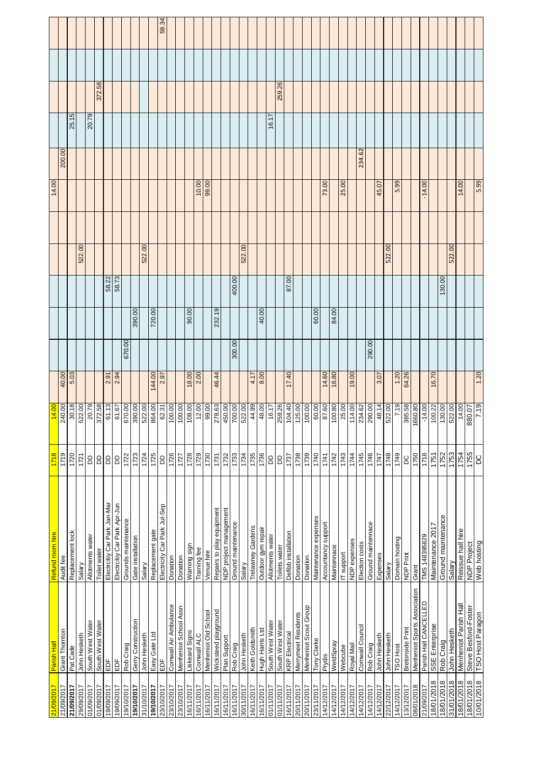| 21/09/2017<br>21/09/2017 | Parish Hall                  | Refund room hire             | 1718          | 14.00                   |                      |        |        |        | 14.00    |        |       |        |       |
|--------------------------|------------------------------|------------------------------|---------------|-------------------------|----------------------|--------|--------|--------|----------|--------|-------|--------|-------|
|                          | Grant Thornton               | Audit fee                    | 1719          | 240.00                  |                      |        |        |        |          | 200.00 |       |        |       |
| 21/09/2017               | Pat Cade                     | Replacement lock             | 1720          | 30.18                   | $\frac{40.00}{5.03}$ |        |        |        |          |        | 25.15 |        |       |
| 29/09/2017               | John Hesketh                 | Salary                       | 1721          | 522.00                  |                      |        |        | 522.00 |          |        |       |        |       |
| 01/09/2017               | South West Water             | Allotments water             | 6             | 20.79                   |                      |        |        |        |          |        | 20.79 |        |       |
| 01/09/2017               | South West Water             | Toilet water                 | G             | 372.58                  |                      |        |        |        |          |        |       | 372.58 |       |
| 19/09/2017               | ΕDF                          | Electroitiy Car Park Jan-Mar | G             | 61.13                   | 2.91                 |        | 58.22  |        |          |        |       |        |       |
| 19/09/2017               | EDF                          | Electroitiy Car Park Apr-Jun | G             | 61.67                   | 2.94                 |        |        |        |          |        |       |        |       |
| 19/10/2017               | Rob Craig                    | Grounds maintenance          | 1722          | 670.00                  | 670.00               |        |        |        |          |        |       |        |       |
| 19/10/2017               | Gerry Construction           | Gate installation            | 1723          | 390.00                  |                      | 390.00 |        |        |          |        |       |        |       |
| 31/10/2017               | John Hesketh                 | Salary                       | 1724          | 522.00                  |                      |        |        | 522.00 |          |        |       |        |       |
| 19/10/2017               | Easy Gate Ltd                | Replacement gate             | 1725          | 864.00                  | 144.00               | 720.00 |        |        |          |        |       |        |       |
| 23/10/2017               | ă                            | Electricity Car Park Jul-Sep | <b>DD</b>     |                         | 2.97                 |        |        |        |          |        |       |        | 59.34 |
| 23/10/2017               | Cornwall Air Ambulance       | Donation                     | 1726          | $\frac{62.31}{100.00}$  |                      |        |        |        |          |        |       |        |       |
| 23/10/2017               | Menheniot School Assn        | Donation                     | 1727          | $\frac{100.00}{108.00}$ |                      |        |        |        |          |        |       |        |       |
| 6/11/2017                | Liskeard Signs               | Warning sign                 | 1728          |                         | 18.00                | 90.00  |        |        |          |        |       |        |       |
| 6/11/2017                | Cornwall ALC                 | Training fee                 | 1729          | 12.00                   | 2.00                 |        |        |        | 10.00    |        |       |        |       |
| 6/11/2017                | Menheniot Old School         | Venue hire                   | 1730          | 99.00                   |                      |        |        |        | 99.00    |        |       |        |       |
| 16/11/2017               | Wicksteed playground         | Repairs to play equipment    | 1731          | 278.63                  | 46.44                | 232.19 |        |        |          |        |       |        |       |
| 6/11/2017                | Plan Support                 | NDP project management       | 1732          | 450.00                  |                      |        |        |        |          |        |       |        |       |
| 16/11/2017               | Rob Craig                    | Ground maintenance           | 1733          | 700.00                  | 300.00               |        | 400.00 |        |          |        |       |        |       |
| 30/11/2017               | John Hesketh                 | Salary                       | 1734          | 522.00                  |                      |        |        | 522.00 |          |        |       |        |       |
| 6/11/2017                | Keith Goldsmith              | Trelawney Gardens            | 1735          | 44.99                   | 4.17                 |        |        |        |          |        |       |        |       |
| 16/11/2017               | Hugh Harris Ltd              | Outdoor gym repair           | 1736          | 48.00                   | 8.00                 | 40.00  |        |        |          |        |       |        |       |
| 01/11/2017               | South West Water             | Allotments water             | B             | 16.17                   |                      |        |        |        |          |        | 16.17 |        |       |
| 01/11/2017               | South West Water             | Toilets water                | aa            | 259.26                  |                      |        |        |        |          |        |       | 259.26 |       |
| 16/11/2017               | <b>KRP</b> Electrical        | Defibb installation          | 1737          | 104.40                  | 17.40                |        | 87.00  |        |          |        |       |        |       |
| 20/11/2017               | Merrymeet Residents          | Donation                     | 1738          | 125.00                  |                      |        |        |        |          |        |       |        |       |
| 20/11/2017               | Menheniot Scout Group        | Donation                     | 1739          | 100.00                  |                      |        |        |        |          |        |       |        |       |
| 23/11/2017               | Tony Clarke                  | Maintenance expenses         | 1740          | 60.00                   |                      | 60.00  |        |        |          |        |       |        |       |
| 4/12/2017                | Prydis                       | Accountancy support          | 1741          | 87.60                   | 14.60                |        |        |        | 73.00    |        |       |        |       |
| 14/12/2017               | WeldSpray                    | Maintennace                  | 1742          | 100.80                  | 16.80                | 84.00  |        |        |          |        |       |        |       |
| 14/12/2017               | Webcube                      | IT support                   | 1743          | 25.00                   |                      |        |        |        | 25.00    |        |       |        |       |
| 14/12/2017               | Royal Mail                   | NDP expenses                 | 1744          | 114.00                  | 19.00                |        |        |        |          |        |       |        |       |
| 14/12/2017               | Cornwall Council             | Election costs               | 1745          | 234.62                  |                      |        |        |        |          | 234.62 |       |        |       |
| 14/12/2017               | Rob Craig                    | Ground maintennace           | 1746          | 290.00                  | 290.00               |        |        |        |          |        |       |        |       |
| 14/12/2017               | John Hesketh                 | Expenses                     | 1747          | 48.14                   | 3.07                 |        |        |        | 45.07    |        |       |        |       |
| 22/12/2017               | John Hesketh                 | Salary                       | 1748          | 522.00                  |                      |        |        | 522.00 |          |        |       |        |       |
| 14/12/2017               | TSO Host                     | Domain hosting               | 1749          | 7.19                    | 1.20                 |        |        |        | 5.99     |        |       |        |       |
| 3/12/2017                | Bretonside Print             | NDP Print                    | ΟC            | 385.58                  | 64.26                |        |        |        |          |        |       |        |       |
| 08/01/2018               | Menheniot Sports Association | Grant                        | 1750          | 1660.80                 |                      |        |        |        |          |        |       |        |       |
| 21/09/2017               | Parish Hall CANCELLED        | TMS 148395829                | 1718          | $-14.00$                |                      |        |        |        | $-14.00$ |        |       |        |       |
| 18/01/2018               | SSE Enterprise               | Maintenance 2017             | 1751          | 100.22                  | 16.70                |        |        |        |          |        |       |        |       |
| 8/01/2018                | Rob Craig                    | Ground maintenance           | 1752          | 130.00                  |                      |        | 130.00 |        |          |        |       |        |       |
| 31/01/2018               | John Hesketh                 | Salary                       | 1753          | 522.00                  |                      |        |        | 522.00 |          |        |       |        |       |
| 8/01/2018                | Menheniot Parish Hall        | Reissue hall hire            | 1754          | 14.00                   |                      |        |        |        | 14.00    |        |       |        |       |
| 8/01/2018                | Steve Besford-Foster         | NDP Project                  | 1755          | 880.07                  |                      |        |        |        |          |        |       |        |       |
| 10/01/2018               | TSO Host Paragon             | Web hosting                  | $\mathcal{S}$ | 7.19                    | 1.20                 |        |        |        | 5.99     |        |       |        |       |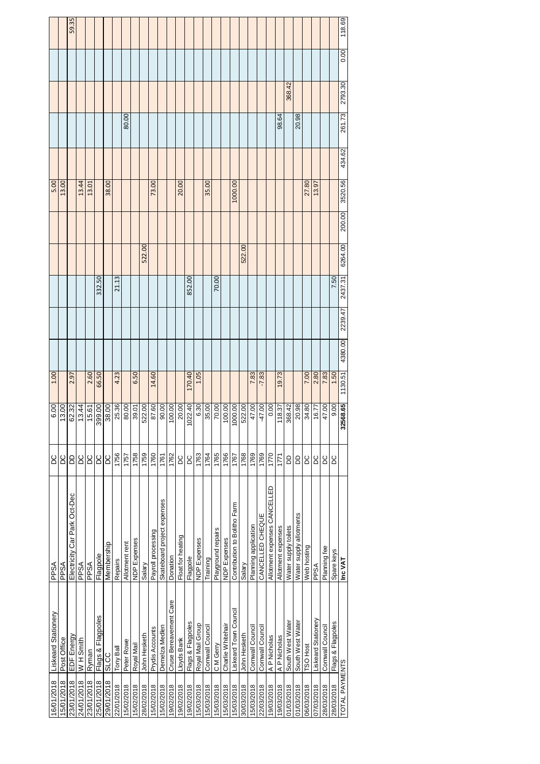| Liskeard Stationery    | PPSA                         | СC                                                                      | 6.00     | 001                                                                                       |         |        |         |         | 5.00   |                    |        |         |      |        |
|------------------------|------------------------------|-------------------------------------------------------------------------|----------|-------------------------------------------------------------------------------------------|---------|--------|---------|---------|--------|--------------------|--------|---------|------|--------|
| Post Office            | PPSA                         | СC                                                                      | 13.00    |                                                                                           |         |        |         |         | 13.00  |                    |        |         |      |        |
| EDF Energy             | Electricity Car Park Oct-Dec | 6                                                                       |          | 2.97                                                                                      |         |        |         |         |        |                    |        |         |      | 59.35  |
| W H Smith              | PPSA                         | <b>DC</b>                                                               | 13.44    |                                                                                           |         |        |         |         | 13.44  |                    |        |         |      |        |
| Ryman                  | <b>ASdd</b>                  | ОC                                                                      |          | 2.60                                                                                      |         |        |         |         | 13.01  |                    |        |         |      |        |
| Flags & Flagpoles      | Flagpole                     | ΟC                                                                      |          | 66.50                                                                                     |         | 332.50 |         |         |        |                    |        |         |      |        |
| <b>SLCC</b>            | Membership                   | <b>DC</b>                                                               | 38.00    |                                                                                           |         |        |         |         | 38.00  |                    |        |         |      |        |
| Tony Ball              | Repairs                      | 1756                                                                    |          | 4.23                                                                                      |         | 21.13  |         |         |        |                    |        |         |      |        |
| Peter Rowe             | Allotment rent               | 1757                                                                    | 80.00    |                                                                                           |         |        |         |         |        |                    | 80.00  |         |      |        |
| Royal Mail             |                              | 1758                                                                    |          | 6.50                                                                                      |         |        |         |         |        |                    |        |         |      |        |
| John Hesketh           | Salary                       | 1759                                                                    | 522.00   |                                                                                           |         |        | 522.00  |         |        |                    |        |         |      |        |
| Prydis Accounts        | Payroll processing           | 1760                                                                    | 87.60    | 14.60                                                                                     |         |        |         |         | 73.00  |                    |        |         |      |        |
| Demelza Medlen         | Skateboard project expenses  | 1761                                                                    | 90.00    |                                                                                           |         |        |         |         |        |                    |        |         |      |        |
| Cruse Bereavement Care | Donation                     | 1762                                                                    |          |                                                                                           |         |        |         |         |        |                    |        |         |      |        |
| Lloyds Bank            | Float for heating            | <b>DC</b>                                                               | 20.00    |                                                                                           |         |        |         |         | 20.00  |                    |        |         |      |        |
| Flags & Flagpoles      | Flagpole                     | <b>DC</b>                                                               | 1022.40  | 170.40                                                                                    |         | 852.00 |         |         |        |                    |        |         |      |        |
| Royal Mail Group       | NDP Expenses                 | 1763                                                                    | 6.30     | 1.05                                                                                      |         |        |         |         |        |                    |        |         |      |        |
| Cornwall Council       |                              | 1764                                                                    |          |                                                                                           |         |        |         |         | 35.00  |                    |        |         |      |        |
| C M Gerry              | Playground repairs           | 1765                                                                    |          |                                                                                           |         | 70.00  |         |         |        |                    |        |         |      |        |
| Charlie Whitehair      |                              | 1766                                                                    |          |                                                                                           |         |        |         |         |        |                    |        |         |      |        |
| Liskeard Town Counci   | Contribution to Bolitho Farm | 1767                                                                    |          |                                                                                           |         |        |         |         |        |                    |        |         |      |        |
| John Hesketh           | Salary                       | 1768                                                                    | 522.00   |                                                                                           |         |        | 522.00  |         |        |                    |        |         |      |        |
| Cornwall Council       | Planning application         | 1769                                                                    | 47.00    | 7.83                                                                                      |         |        |         |         |        |                    |        |         |      |        |
| Cornwall Counci        | CANCELLED CHEQUE             | 1769                                                                    | $-47.00$ | $-7.83$                                                                                   |         |        |         |         |        |                    |        |         |      |        |
| A P Nicholas           | Allotment expenses CANCELLED | 1770                                                                    | 0.00     |                                                                                           |         |        |         |         |        |                    |        |         |      |        |
| A P Nicholas           | Allotment expenses           | 1771                                                                    | 18.37    | 19.73                                                                                     |         |        |         |         |        |                    | 98.64  |         |      |        |
| South West Water       |                              | 6                                                                       | 368.42   |                                                                                           |         |        |         |         |        |                    |        | 368.42  |      |        |
| South West Water       | Water supply allotments      | GO                                                                      | 20.98    |                                                                                           |         |        |         |         |        |                    | 20.98  |         |      |        |
| <b>TSO Host</b>        | Web hosting                  | <b>DC</b>                                                               | 34.80    | 7.00                                                                                      |         |        |         |         | 27.80  |                    |        |         |      |        |
| Liskeard Stationery    | PPSA                         | <b>DC</b>                                                               | 16.77    | 2.80                                                                                      |         |        |         |         | 13.97  |                    |        |         |      |        |
| Cornwall Counci        | Planning fee                 | <b>DC</b>                                                               | 47.00    | 7.83                                                                                      |         |        |         |         |        |                    |        |         |      |        |
| Flags & Flagpoles      | Spare keys                   | <b>DC</b>                                                               | 9.00     | 1.50                                                                                      |         | 7.50   |         |         |        |                    |        |         |      |        |
| TOTAL PAYMENTS         | Inc VAT                      |                                                                         | 32568.65 | 1130.51                                                                                   | 2239.47 |        |         |         |        |                    | 261.73 | 2793.30 | 0.00 | 118.69 |
|                        |                              | Water supply toilets<br><b>NDP Expenses</b><br>NDP Expenses<br>Training |          | 25.36<br>00.00<br>35.00<br>70.00<br>00.00<br>1000.00<br>62.32<br>15.61<br>399.00<br>39.01 | 4380.00 |        | 2437.31 | 6264.00 | 200.00 | 3520.56<br>1000.00 | 434.62 |         |      |        |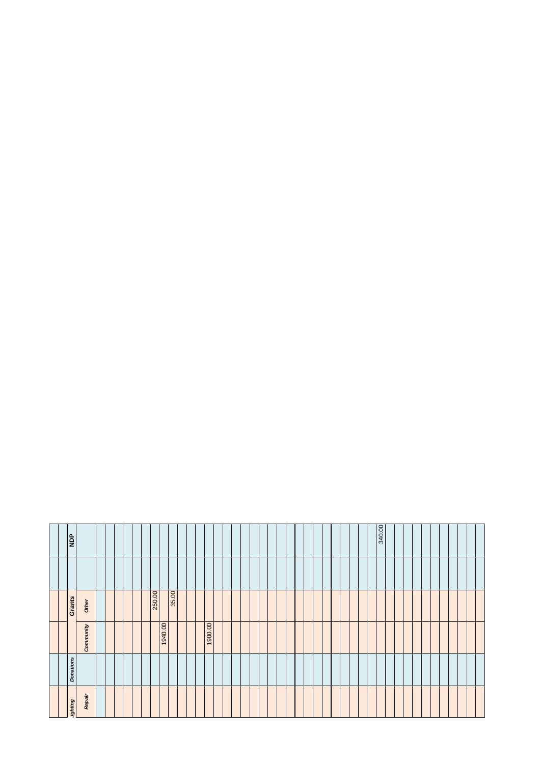|  | <b>AGN</b>              |  |  |         |       |  |         |  |  |  |  |  |  |  | 340.00 |  |  |  |
|--|-------------------------|--|--|---------|-------|--|---------|--|--|--|--|--|--|--|--------|--|--|--|
|  | Grants<br>Other         |  |  | 250.00  | 35.00 |  |         |  |  |  |  |  |  |  |        |  |  |  |
|  | Community               |  |  | 1940.00 |       |  | 1900.00 |  |  |  |  |  |  |  |        |  |  |  |
|  | <b>Donations</b>        |  |  |         |       |  |         |  |  |  |  |  |  |  |        |  |  |  |
|  | Repair<br><b>ghting</b> |  |  |         |       |  |         |  |  |  |  |  |  |  |        |  |  |  |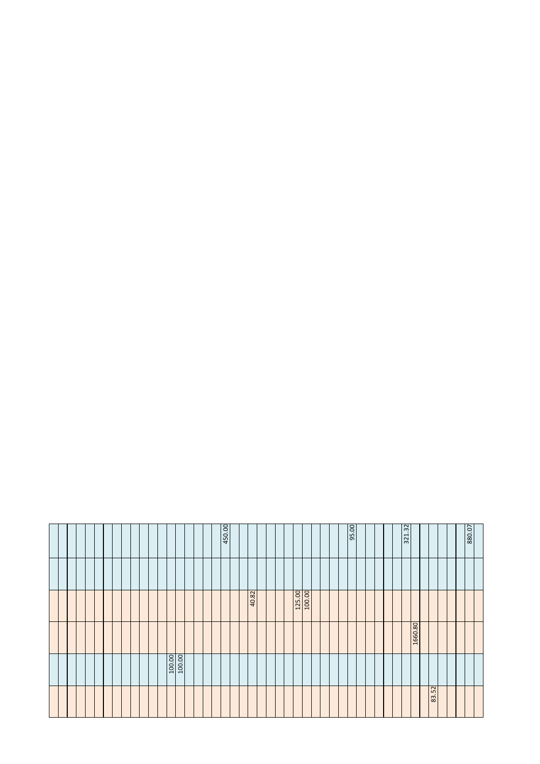| 880.07 |                  |         |                  |       |
|--------|------------------|---------|------------------|-------|
|        |                  |         |                  |       |
|        |                  |         |                  |       |
|        |                  |         |                  | 83.52 |
|        |                  | 1660.80 |                  |       |
| 321.32 |                  |         |                  |       |
|        |                  |         |                  |       |
|        |                  |         |                  |       |
| 95.00  |                  |         |                  |       |
|        |                  |         |                  |       |
|        |                  |         |                  |       |
|        |                  |         |                  |       |
|        | 100.00<br>125.00 |         |                  |       |
|        |                  |         |                  |       |
|        |                  |         |                  |       |
|        | 40.82            |         |                  |       |
|        |                  |         |                  |       |
| 450.00 |                  |         |                  |       |
|        |                  |         |                  |       |
|        |                  |         |                  |       |
|        |                  |         |                  |       |
|        |                  |         | 100.00<br>100.00 |       |
|        |                  |         |                  |       |
|        |                  |         |                  |       |
|        |                  |         |                  |       |
|        |                  |         |                  |       |
|        |                  |         |                  |       |
|        |                  |         |                  |       |
|        |                  |         |                  |       |
|        |                  |         |                  |       |
|        |                  |         |                  |       |